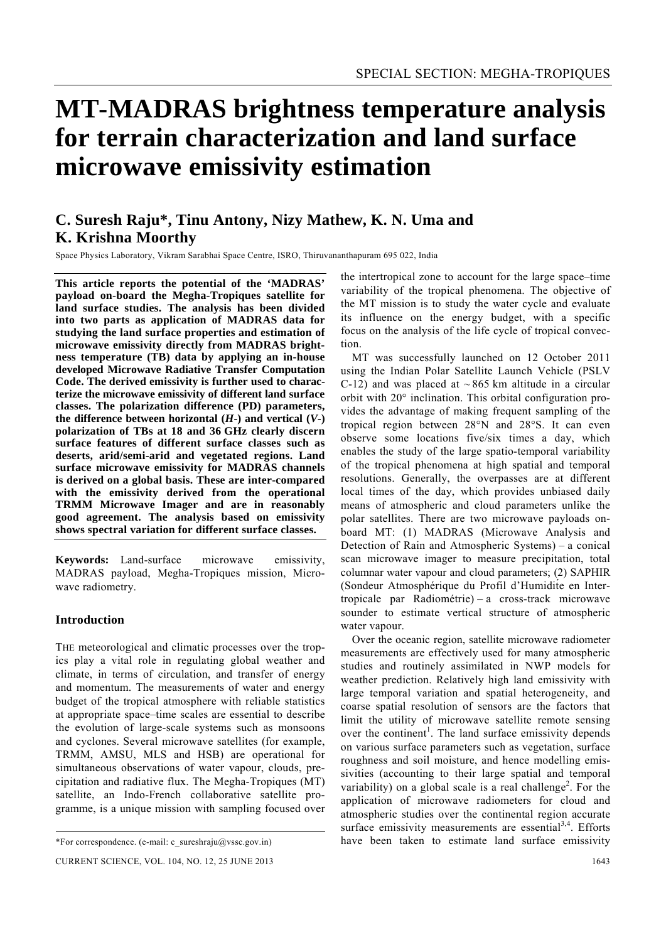# **MT-MADRAS brightness temperature analysis for terrain characterization and land surface microwave emissivity estimation**

## **C. Suresh Raju\*, Tinu Antony, Nizy Mathew, K. N. Uma and K. Krishna Moorthy**

Space Physics Laboratory, Vikram Sarabhai Space Centre, ISRO, Thiruvananthapuram 695 022, India

**This article reports the potential of the 'MADRAS' payload on-board the Megha-Tropiques satellite for land surface studies. The analysis has been divided into two parts as application of MADRAS data for studying the land surface properties and estimation of microwave emissivity directly from MADRAS brightness temperature (TB) data by applying an in-house developed Microwave Radiative Transfer Computation Code. The derived emissivity is further used to characterize the microwave emissivity of different land surface classes. The polarization difference (PD) parameters, the difference between horizontal**  $(H$ **<sup>-</sup>) and vertical**  $(V$ **<sup>-</sup>) polarization of TBs at 18 and 36 GHz clearly discern surface features of different surface classes such as deserts, arid/semi-arid and vegetated regions. Land surface microwave emissivity for MADRAS channels is derived on a global basis. These are inter-compared with the emissivity derived from the operational TRMM Microwave Imager and are in reasonably good agreement. The analysis based on emissivity shows spectral variation for different surface classes.** 

**Keywords:** Land-surface microwave emissivity, MADRAS payload, Megha-Tropiques mission, Microwave radiometry.

#### **Introduction**

THE meteorological and climatic processes over the tropics play a vital role in regulating global weather and climate, in terms of circulation, and transfer of energy and momentum. The measurements of water and energy budget of the tropical atmosphere with reliable statistics at appropriate space–time scales are essential to describe the evolution of large-scale systems such as monsoons and cyclones. Several microwave satellites (for example, TRMM, AMSU, MLS and HSB) are operational for simultaneous observations of water vapour, clouds, precipitation and radiative flux. The Megha-Tropiques (MT) satellite, an Indo-French collaborative satellite programme, is a unique mission with sampling focused over

the intertropical zone to account for the large space–time variability of the tropical phenomena. The objective of the MT mission is to study the water cycle and evaluate its influence on the energy budget, with a specific focus on the analysis of the life cycle of tropical convection.

 MT was successfully launched on 12 October 2011 using the Indian Polar Satellite Launch Vehicle (PSLV C-12) and was placed at  $\sim$  865 km altitude in a circular orbit with 20° inclination. This orbital configuration provides the advantage of making frequent sampling of the tropical region between 28°N and 28°S. It can even observe some locations five/six times a day, which enables the study of the large spatio-temporal variability of the tropical phenomena at high spatial and temporal resolutions. Generally, the overpasses are at different local times of the day, which provides unbiased daily means of atmospheric and cloud parameters unlike the polar satellites. There are two microwave payloads onboard MT: (1) MADRAS (Microwave Analysis and Detection of Rain and Atmospheric Systems) – a conical scan microwave imager to measure precipitation, total columnar water vapour and cloud parameters; (2) SAPHIR (Sondeur Atmosphérique du Profil d'Humidit́e en Intertropicale par Radiométrie) – a cross-track microwave sounder to estimate vertical structure of atmospheric water vapour.

 Over the oceanic region, satellite microwave radiometer measurements are effectively used for many atmospheric studies and routinely assimilated in NWP models for weather prediction. Relatively high land emissivity with large temporal variation and spatial heterogeneity, and coarse spatial resolution of sensors are the factors that limit the utility of microwave satellite remote sensing over the continent<sup>1</sup>. The land surface emissivity depends on various surface parameters such as vegetation, surface roughness and soil moisture, and hence modelling emissivities (accounting to their large spatial and temporal variability) on a global scale is a real challenge<sup>2</sup>. For the application of microwave radiometers for cloud and atmospheric studies over the continental region accurate surface emissivity measurements are essential $3,4$ . Efforts have been taken to estimate land surface emissivity

<sup>\*</sup>For correspondence. (e-mail: c\_sureshraju@vssc.gov.in)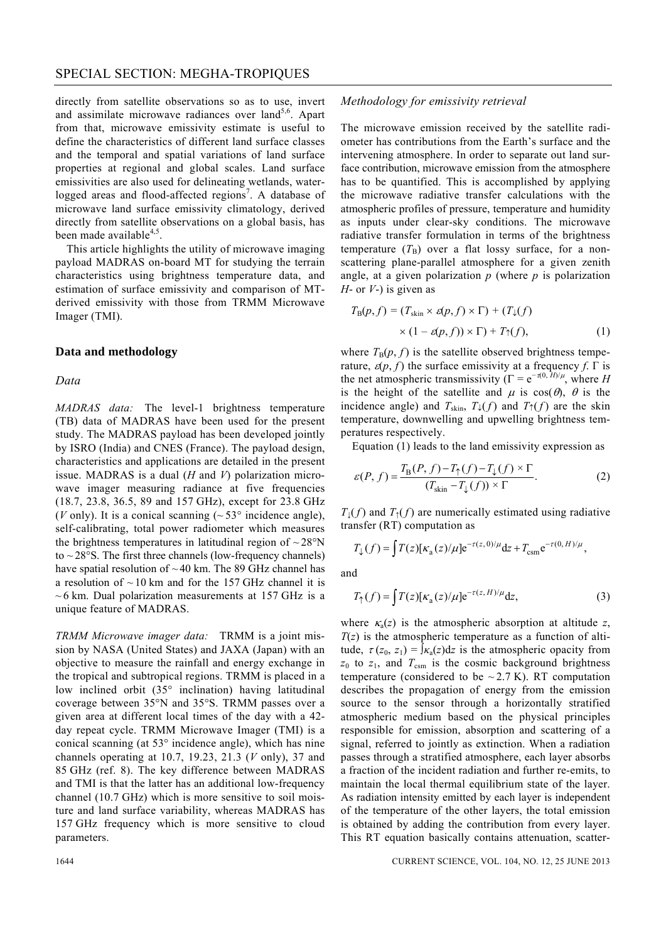directly from satellite observations so as to use, invert and assimilate microwave radiances over  $land<sup>5,6</sup>$ . Apart from that, microwave emissivity estimate is useful to define the characteristics of different land surface classes and the temporal and spatial variations of land surface properties at regional and global scales. Land surface emissivities are also used for delineating wetlands, waterlogged areas and flood-affected regions<sup>7</sup>. A database of microwave land surface emissivity climatology, derived directly from satellite observations on a global basis, has been made available $4,5$ .

 This article highlights the utility of microwave imaging payload MADRAS on-board MT for studying the terrain characteristics using brightness temperature data, and estimation of surface emissivity and comparison of MTderived emissivity with those from TRMM Microwave Imager (TMI).

#### **Data and methodology**

#### *Data*

*MADRAS data:* The level-1 brightness temperature (TB) data of MADRAS have been used for the present study. The MADRAS payload has been developed jointly by ISRO (India) and CNES (France). The payload design, characteristics and applications are detailed in the present issue. MADRAS is a dual (*H* and *V*) polarization microwave imager measuring radiance at five frequencies (18.7, 23.8, 36.5, 89 and 157 GHz), except for 23.8 GHz (*V* only). It is a conical scanning  $({\sim}53^{\circ}$  incidence angle), self-calibrating, total power radiometer which measures the brightness temperatures in latitudinal region of  $\sim$  28 $\rm{°N}$ to  $\sim$  28 $\textdegree$ S. The first three channels (low-frequency channels) have spatial resolution of  $\sim$  40 km. The 89 GHz channel has a resolution of  $\sim$  10 km and for the 157 GHz channel it is  $\sim$  6 km. Dual polarization measurements at 157 GHz is a unique feature of MADRAS.

*TRMM Microwave imager data:* TRMM is a joint mission by NASA (United States) and JAXA (Japan) with an objective to measure the rainfall and energy exchange in the tropical and subtropical regions. TRMM is placed in a low inclined orbit (35° inclination) having latitudinal coverage between 35°N and 35°S. TRMM passes over a given area at different local times of the day with a 42 day repeat cycle. TRMM Microwave Imager (TMI) is a conical scanning (at 53° incidence angle), which has nine channels operating at 10.7, 19.23, 21.3 (*V* only), 37 and 85 GHz (ref. 8). The key difference between MADRAS and TMI is that the latter has an additional low-frequency channel (10.7 GHz) which is more sensitive to soil moisture and land surface variability, whereas MADRAS has 157 GHz frequency which is more sensitive to cloud parameters.

#### *Methodology for emissivity retrieval*

The microwave emission received by the satellite radiometer has contributions from the Earth's surface and the intervening atmosphere. In order to separate out land surface contribution, microwave emission from the atmosphere has to be quantified. This is accomplished by applying the microwave radiative transfer calculations with the atmospheric profiles of pressure, temperature and humidity as inputs under clear-sky conditions. The microwave radiative transfer formulation in terms of the brightness temperature  $(T_B)$  over a flat lossy surface, for a nonscattering plane-parallel atmosphere for a given zenith angle, at a given polarization *p* (where *p* is polarization *H*- or *V*-) is given as

$$
T_{\rm B}(p,f) = (T_{\rm skin} \times \varepsilon(p,f) \times \Gamma) + (T_{\downarrow}(f)
$$
  
 
$$
\times (1 - \varepsilon(p,f)) \times \Gamma) + T_{\uparrow}(f), \qquad (1)
$$

where  $T_B(p, f)$  is the satellite observed brightness temperature,  $\varepsilon$ (*p*, *f*) the surface emissivity at a frequency *f*. Γ is the net atmospheric transmissivity ( $\Gamma = e^{-\tau(0, H)/\mu}$ , where *H* is the height of the satellite and  $\mu$  is  $cos(\theta)$ ,  $\theta$  is the incidence angle) and  $T_{\text{skin}}$ ,  $T_{\downarrow}(f)$  and  $T_{\uparrow}(f)$  are the skin temperature, downwelling and upwelling brightness temperatures respectively.

Equation (1) leads to the land emissivity expression as

$$
\varepsilon(P, f) = \frac{T_{\rm B}(P, f) - T_{\uparrow}(f) - T_{\downarrow}(f) \times \Gamma}{(T_{\rm skin} - T_{\downarrow}(f)) \times \Gamma}.
$$
 (2)

 $T_1(f)$  and  $T_2(f)$  are numerically estimated using radiative transfer (RT) computation as

$$
T_{\downarrow}(f) = \int T(z) [\kappa_{\rm a}(z)/\mu] e^{-\tau(z,0)/\mu} dz + T_{\rm csm} e^{-\tau(0,H)/\mu},
$$

and

$$
T_{\uparrow}(f) = \int T(z) \left[ \kappa_a(z) / \mu \right] e^{-\tau(z, H) / \mu} dz, \tag{3}
$$

where  $\kappa_a(z)$  is the atmospheric absorption at altitude z,  $T(z)$  is the atmospheric temperature as a function of altitude,  $\tau(z_0, z_1) = \int_{\mathcal{K}_a}(z) dz$  is the atmospheric opacity from  $z_0$  to  $z_1$ , and  $T_{\text{csm}}$  is the cosmic background brightness temperature (considered to be  $\sim$  2.7 K). RT computation describes the propagation of energy from the emission source to the sensor through a horizontally stratified atmospheric medium based on the physical principles responsible for emission, absorption and scattering of a signal, referred to jointly as extinction. When a radiation passes through a stratified atmosphere, each layer absorbs a fraction of the incident radiation and further re-emits, to maintain the local thermal equilibrium state of the layer. As radiation intensity emitted by each layer is independent of the temperature of the other layers, the total emission is obtained by adding the contribution from every layer. This RT equation basically contains attenuation, scatter-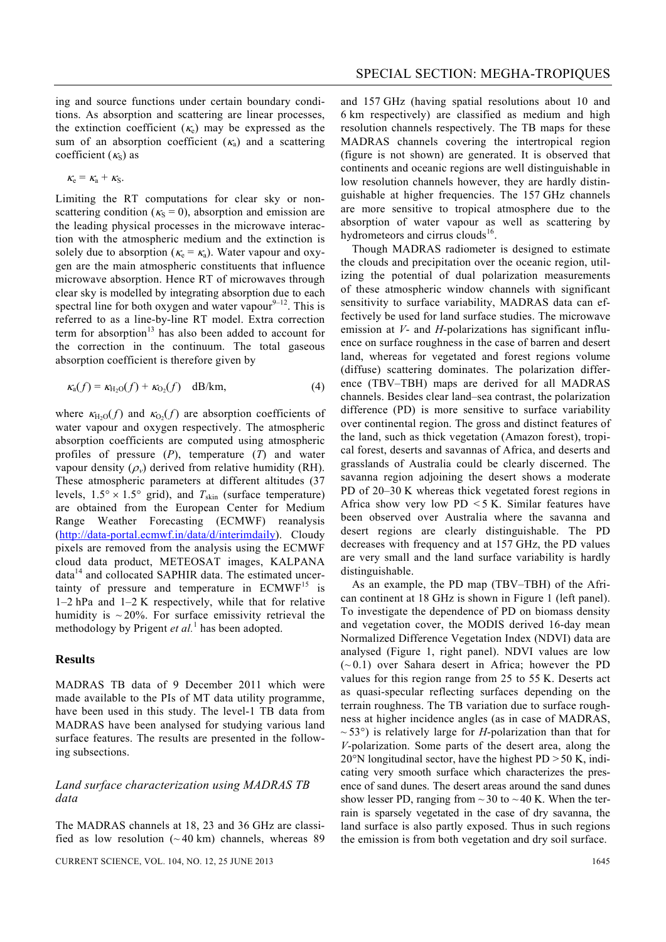$$
\kappa_{\rm e}=\kappa_{\rm a}+\kappa_{\rm S}.
$$

Limiting the RT computations for clear sky or nonscattering condition ( $\kappa_s = 0$ ), absorption and emission are the leading physical processes in the microwave interaction with the atmospheric medium and the extinction is solely due to absorption ( $\kappa_e = \kappa_a$ ). Water vapour and oxygen are the main atmospheric constituents that influence microwave absorption. Hence RT of microwaves through clear sky is modelled by integrating absorption due to each spectral line for both oxygen and water vapour $9-12$ . This is referred to as a line-by-line RT model. Extra correction term for absorption $13$  has also been added to account for the correction in the continuum. The total gaseous absorption coefficient is therefore given by

$$
\kappa_a(f) = \kappa_{H_2O}(f) + \kappa_{O_2}(f) \quad \text{dB/km},\tag{4}
$$

where  $\kappa_{H_2O}(f)$  and  $\kappa_{O_2}(f)$  are absorption coefficients of water vapour and oxygen respectively. The atmospheric absorption coefficients are computed using atmospheric profiles of pressure (*P*), temperature (*T*) and water vapour density  $(\rho_v)$  derived from relative humidity (RH). These atmospheric parameters at different altitudes (37 levels,  $1.5^{\circ} \times 1.5^{\circ}$  grid), and  $T_{\text{skin}}$  (surface temperature) are obtained from the European Center for Medium Range Weather Forecasting (ECMWF) reanalysis (http://data-portal.ecmwf.in/data/d/interimdaily). Cloudy pixels are removed from the analysis using the ECMWF cloud data product, METEOSAT images, KALPANA  $data<sup>14</sup>$  and collocated SAPHIR data. The estimated uncertainty of pressure and temperature in  $ECMWF^{15}$  is 1–2 hPa and 1–2 K respectively, while that for relative humidity is  $\sim$  20%. For surface emissivity retrieval the methodology by Prigent *et al*.<sup>1</sup> has been adopted.

#### **Results**

MADRAS TB data of 9 December 2011 which were made available to the PIs of MT data utility programme, have been used in this study. The level-1 TB data from MADRAS have been analysed for studying various land surface features. The results are presented in the following subsections.

#### *Land surface characterization using MADRAS TB data*

The MADRAS channels at 18, 23 and 36 GHz are classified as low resolution  $({\sim}40 \text{ km})$  channels, whereas 89 and 157 GHz (having spatial resolutions about 10 and 6 km respectively) are classified as medium and high resolution channels respectively. The TB maps for these MADRAS channels covering the intertropical region (figure is not shown) are generated. It is observed that continents and oceanic regions are well distinguishable in low resolution channels however, they are hardly distinguishable at higher frequencies. The 157 GHz channels are more sensitive to tropical atmosphere due to the absorption of water vapour as well as scattering by hydrometeors and cirrus clouds<sup>16</sup>.

 Though MADRAS radiometer is designed to estimate the clouds and precipitation over the oceanic region, utilizing the potential of dual polarization measurements of these atmospheric window channels with significant sensitivity to surface variability, MADRAS data can effectively be used for land surface studies. The microwave emission at *V*- and *H*-polarizations has significant influence on surface roughness in the case of barren and desert land, whereas for vegetated and forest regions volume (diffuse) scattering dominates. The polarization difference (TBV–TBH) maps are derived for all MADRAS channels. Besides clear land–sea contrast, the polarization difference (PD) is more sensitive to surface variability over continental region. The gross and distinct features of the land, such as thick vegetation (Amazon forest), tropical forest, deserts and savannas of Africa, and deserts and grasslands of Australia could be clearly discerned. The savanna region adjoining the desert shows a moderate PD of 20–30 K whereas thick vegetated forest regions in Africa show very low PD  $\leq$  5 K. Similar features have been observed over Australia where the savanna and desert regions are clearly distinguishable. The PD decreases with frequency and at 157 GHz, the PD values are very small and the land surface variability is hardly distinguishable.

 As an example, the PD map (TBV–TBH) of the African continent at 18 GHz is shown in Figure 1 (left panel). To investigate the dependence of PD on biomass density and vegetation cover, the MODIS derived 16-day mean Normalized Difference Vegetation Index (NDVI) data are analysed (Figure 1, right panel). NDVI values are low  $(-0.1)$  over Sahara desert in Africa; however the PD values for this region range from 25 to 55 K. Deserts act as quasi-specular reflecting surfaces depending on the terrain roughness. The TB variation due to surface roughness at higher incidence angles (as in case of MADRAS,  $\sim$  53°) is relatively large for *H*-polarization than that for *V*-polarization. Some parts of the desert area, along the  $20^{\circ}$ N longitudinal sector, have the highest PD  $> 50$  K, indicating very smooth surface which characterizes the presence of sand dunes. The desert areas around the sand dunes show lesser PD, ranging from  $\sim$  30 to  $\sim$  40 K. When the terrain is sparsely vegetated in the case of dry savanna, the land surface is also partly exposed. Thus in such regions the emission is from both vegetation and dry soil surface.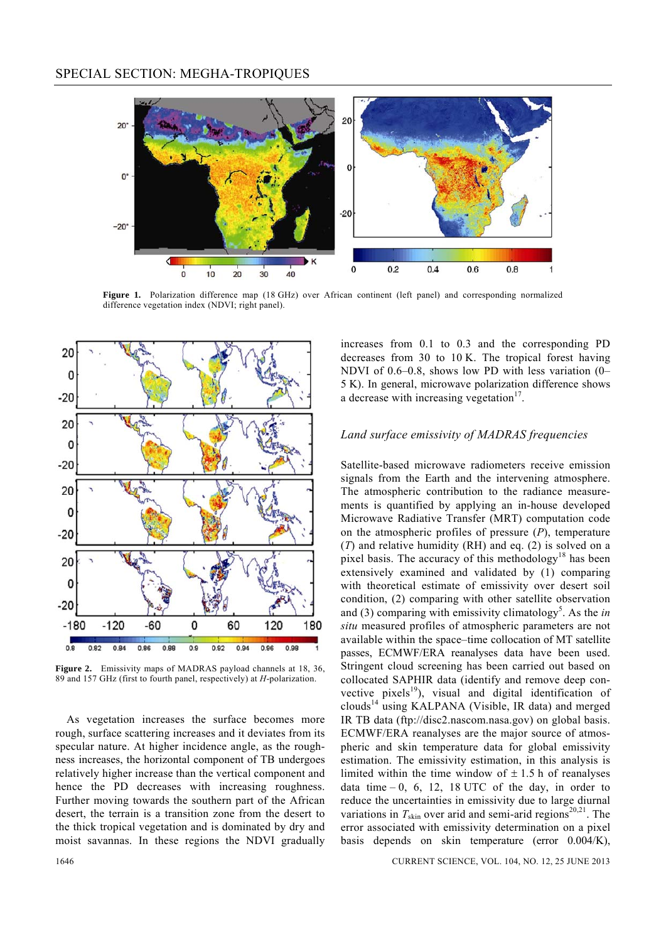

Figure 1. Polarization difference map (18 GHz) over African continent (left panel) and corresponding normalized difference vegetation index (NDVI; right panel).



**Figure 2.** Emissivity maps of MADRAS payload channels at 18, 36, 89 and 157 GHz (first to fourth panel, respectively) at *H*-polarization.

 As vegetation increases the surface becomes more rough, surface scattering increases and it deviates from its specular nature. At higher incidence angle, as the roughness increases, the horizontal component of TB undergoes relatively higher increase than the vertical component and hence the PD decreases with increasing roughness. Further moving towards the southern part of the African desert, the terrain is a transition zone from the desert to the thick tropical vegetation and is dominated by dry and moist savannas. In these regions the NDVI gradually increases from 0.1 to 0.3 and the corresponding PD decreases from 30 to 10 K. The tropical forest having NDVI of 0.6–0.8, shows low PD with less variation (0– 5 K). In general, microwave polarization difference shows a decrease with increasing vegetation $17$ .

### *Land surface emissivity of MADRAS frequencies*

Satellite-based microwave radiometers receive emission signals from the Earth and the intervening atmosphere. The atmospheric contribution to the radiance measurements is quantified by applying an in-house developed Microwave Radiative Transfer (MRT) computation code on the atmospheric profiles of pressure (*P*), temperature (*T*) and relative humidity (RH) and eq. (2) is solved on a pixel basis. The accuracy of this methodology<sup>18</sup> has been extensively examined and validated by (1) comparing with theoretical estimate of emissivity over desert soil condition, (2) comparing with other satellite observation and (3) comparing with emissivity climatology<sup>5</sup>. As the *in situ* measured profiles of atmospheric parameters are not available within the space–time collocation of MT satellite passes, ECMWF/ERA reanalyses data have been used. Stringent cloud screening has been carried out based on collocated SAPHIR data (identify and remove deep convective pixels<sup>19</sup>), visual and digital identification of clouds<sup>14</sup> using KALPANA (Visible, IR data) and merged IR TB data (ftp://disc2.nascom.nasa.gov) on global basis. ECMWF/ERA reanalyses are the major source of atmospheric and skin temperature data for global emissivity estimation. The emissivity estimation, in this analysis is limited within the time window of  $\pm$  1.5 h of reanalyses data time  $-0$ , 6, 12, 18 UTC of the day, in order to reduce the uncertainties in emissivity due to large diurnal variations in  $T_{\text{skin}}$  over arid and semi-arid regions<sup>20,21</sup>. The error associated with emissivity determination on a pixel basis depends on skin temperature (error 0.004/K),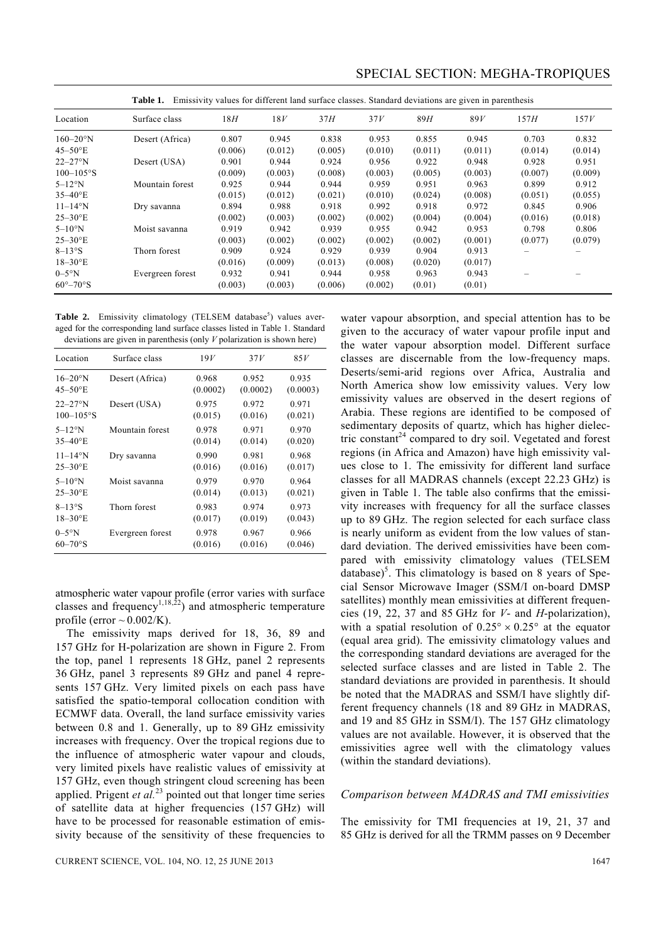| Emissivity values for different land surface classes. Standard deviations are given in parenthesis<br>Table 1. |                  |         |         |         |         |         |         |         |         |
|----------------------------------------------------------------------------------------------------------------|------------------|---------|---------|---------|---------|---------|---------|---------|---------|
| Location                                                                                                       | Surface class    | 18H     | 18V     | 37H     | 37V     | 89H     | 89V     | 157H    | 157V    |
| $160 - 20$ °N                                                                                                  | Desert (Africa)  | 0.807   | 0.945   | 0.838   | 0.953   | 0.855   | 0.945   | 0.703   | 0.832   |
| $45 - 50$ <sup>o</sup> E                                                                                       |                  | (0.006) | (0.012) | (0.005) | (0.010) | (0.011) | (0.011) | (0.014) | (0.014) |
| $22 - 27$ °N                                                                                                   | Desert (USA)     | 0.901   | 0.944   | 0.924   | 0.956   | 0.922   | 0.948   | 0.928   | 0.951   |
| $100 - 105$ °S                                                                                                 |                  | (0.009) | (0.003) | (0.008) | (0.003) | (0.005) | (0.003) | (0.007) | (0.009) |
| $5-12^\circ N$                                                                                                 | Mountain forest  | 0.925   | 0.944   | 0.944   | 0.959   | 0.951   | 0.963   | 0.899   | 0.912   |
| $35 - 40$ <sup>o</sup> E                                                                                       |                  | (0.015) | (0.012) | (0.021) | (0.010) | (0.024) | (0.008) | (0.051) | (0.055) |
| $11 - 14^{\circ}$ N                                                                                            | Dry savanna      | 0.894   | 0.988   | 0.918   | 0.992   | 0.918   | 0.972   | 0.845   | 0.906   |
| $25 - 30$ <sup>o</sup> E                                                                                       |                  | (0.002) | (0.003) | (0.002) | (0.002) | (0.004) | (0.004) | (0.016) | (0.018) |
| $5-10$ °N                                                                                                      | Moist savanna    | 0.919   | 0.942   | 0.939   | 0.955   | 0.942   | 0.953   | 0.798   | 0.806   |
| $25 - 30$ <sup>o</sup> E                                                                                       |                  | (0.003) | (0.002) | (0.002) | (0.002) | (0.002) | (0.001) | (0.077) | (0.079) |
| $8-13^\circ$ S                                                                                                 | Thorn forest     | 0.909   | 0.924   | 0.929   | 0.939   | 0.904   | 0.913   |         |         |
| $18 - 30$ <sup>o</sup> E                                                                                       |                  | (0.016) | (0.009) | (0.013) | (0.008) | (0.020) | (0.017) |         |         |
| $0-5°N$                                                                                                        | Evergreen forest | 0.932   | 0.941   | 0.944   | 0.958   | 0.963   | 0.943   |         |         |
| $60^{\circ}-70^{\circ}$ S                                                                                      |                  | (0.003) | (0.003) | (0.006) | (0.002) | (0.01)  | (0.01)  |         |         |

SPECIAL SECTION: MEGHA-TROPIQUES

Table 2. Emissivity climatology (TELSEM database<sup>5</sup>) values averaged for the corresponding land surface classes listed in Table 1. Standard deviations are given in parenthesis (only *V* polarization is shown here)

| Location                 | Surface class    | 19V      | 37V      | 85V      |
|--------------------------|------------------|----------|----------|----------|
| $16 - 20$ °N             | Desert (Africa)  | 0.968    | 0.952    | 0.935    |
| $45 - 50$ <sup>o</sup> E |                  | (0.0002) | (0.0002) | (0.0003) |
| $22 - 27$ °N             | Desert (USA)     | 0.975    | 0.972    | 0.971    |
| $100 - 105$ °S           |                  | (0.015)  | (0.016)  | (0.021)  |
| $5-12$ °N                | Mountain forest  | 0.978    | 0.971    | 0.970    |
| $35 - 40^{\circ}$ E      |                  | (0.014)  | (0.014)  | (0.020)  |
| $11 - 14$ °N             | Dry savanna      | 0.990    | 0.981    | 0.968    |
| $25 - 30$ <sup>o</sup> E |                  | (0.016)  | (0.016)  | (0.017)  |
| $5-10^\circ$ N           | Moist savanna    | 0.979    | 0.970    | 0.964    |
| $25 - 30$ <sup>o</sup> E |                  | (0.014)  | (0.013)  | (0.021)  |
| $8 - 13^{\circ}$ S       | Thorn forest     | 0.983    | 0.974    | 0.973    |
| $18 - 30$ <sup>o</sup> E |                  | (0.017)  | (0.019)  | (0.043)  |
| $0-5°N$                  | Evergreen forest | 0.978    | 0.967    | 0.966    |
| $60 - 70$ °S             |                  | (0.016)  | (0.016)  | (0.046)  |

atmospheric water vapour profile (error varies with surface classes and frequency<sup>1,18,22</sup>) and atmospheric temperature profile (error  $\sim 0.002$ /K).

 The emissivity maps derived for 18, 36, 89 and 157 GHz for H-polarization are shown in Figure 2. From the top, panel 1 represents 18 GHz, panel 2 represents 36 GHz, panel 3 represents 89 GHz and panel 4 represents 157 GHz. Very limited pixels on each pass have satisfied the spatio-temporal collocation condition with ECMWF data. Overall, the land surface emissivity varies between 0.8 and 1. Generally, up to 89 GHz emissivity increases with frequency. Over the tropical regions due to the influence of atmospheric water vapour and clouds, very limited pixels have realistic values of emissivity at 157 GHz, even though stringent cloud screening has been applied. Prigent  $et al.<sup>23</sup>$  pointed out that longer time series of satellite data at higher frequencies (157 GHz) will have to be processed for reasonable estimation of emissivity because of the sensitivity of these frequencies to water vapour absorption, and special attention has to be given to the accuracy of water vapour profile input and the water vapour absorption model. Different surface classes are discernable from the low-frequency maps. Deserts/semi-arid regions over Africa, Australia and North America show low emissivity values. Very low emissivity values are observed in the desert regions of Arabia. These regions are identified to be composed of sedimentary deposits of quartz, which has higher dielectric constant<sup>24</sup> compared to dry soil. Vegetated and forest regions (in Africa and Amazon) have high emissivity values close to 1. The emissivity for different land surface classes for all MADRAS channels (except 22.23 GHz) is given in Table 1. The table also confirms that the emissivity increases with frequency for all the surface classes up to 89 GHz. The region selected for each surface class is nearly uniform as evident from the low values of standard deviation. The derived emissivities have been compared with emissivity climatology values (TELSEM  $database)^5$ . This climatology is based on 8 years of Special Sensor Microwave Imager (SSM/I on-board DMSP satellites) monthly mean emissivities at different frequencies (19, 22, 37 and 85 GHz for *V*- and *H*-polarization), with a spatial resolution of  $0.25^{\circ} \times 0.25^{\circ}$  at the equator (equal area grid). The emissivity climatology values and the corresponding standard deviations are averaged for the selected surface classes and are listed in Table 2. The standard deviations are provided in parenthesis. It should be noted that the MADRAS and SSM/I have slightly different frequency channels (18 and 89 GHz in MADRAS, and 19 and 85 GHz in SSM/I). The 157 GHz climatology values are not available. However, it is observed that the emissivities agree well with the climatology values (within the standard deviations).

#### *Comparison between MADRAS and TMI emissivities*

The emissivity for TMI frequencies at 19, 21, 37 and 85 GHz is derived for all the TRMM passes on 9 December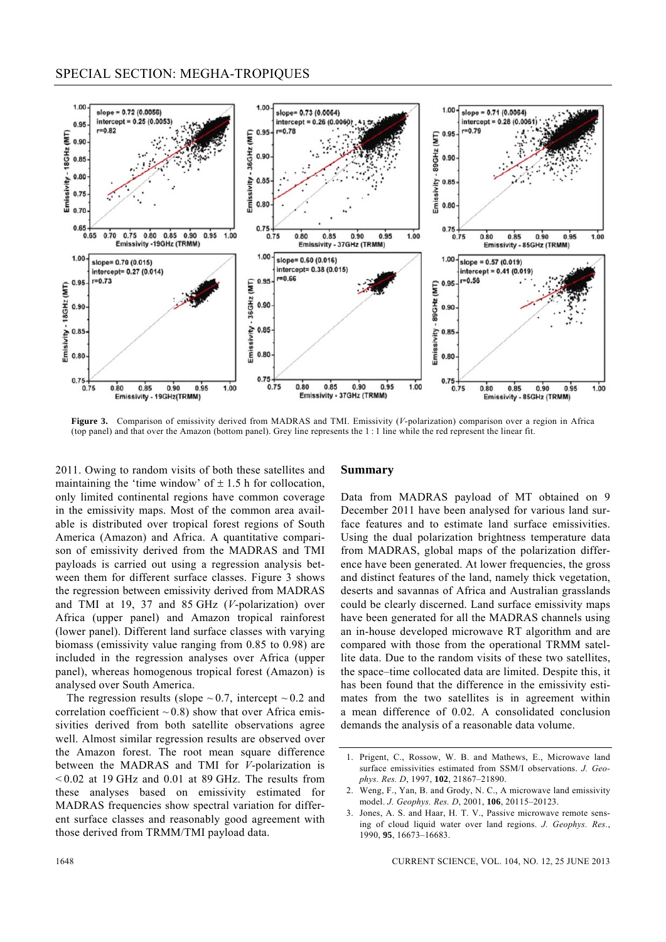

**Figure 3.** Comparison of emissivity derived from MADRAS and TMI. Emissivity (*V*-polarization) comparison over a region in Africa (top panel) and that over the Amazon (bottom panel). Grey line represents the 1 : 1 line while the red represent the linear fit.

2011. Owing to random visits of both these satellites and maintaining the 'time window' of  $\pm$  1.5 h for collocation, only limited continental regions have common coverage in the emissivity maps. Most of the common area available is distributed over tropical forest regions of South America (Amazon) and Africa. A quantitative comparison of emissivity derived from the MADRAS and TMI payloads is carried out using a regression analysis between them for different surface classes. Figure 3 shows the regression between emissivity derived from MADRAS and TMI at 19, 37 and 85 GHz (*V*-polarization) over Africa (upper panel) and Amazon tropical rainforest (lower panel). Different land surface classes with varying biomass (emissivity value ranging from 0.85 to 0.98) are included in the regression analyses over Africa (upper panel), whereas homogenous tropical forest (Amazon) is analysed over South America.

The regression results (slope  $\sim 0.7$ , intercept  $\sim 0.2$  and correlation coefficient  $\sim$  0.8) show that over Africa emissivities derived from both satellite observations agree well. Almost similar regression results are observed over the Amazon forest. The root mean square difference between the MADRAS and TMI for *V*-polarization is  $\leq 0.02$  at 19 GHz and 0.01 at 89 GHz. The results from these analyses based on emissivity estimated for MADRAS frequencies show spectral variation for different surface classes and reasonably good agreement with those derived from TRMM/TMI payload data.

#### **Summary**

Data from MADRAS payload of MT obtained on 9 December 2011 have been analysed for various land surface features and to estimate land surface emissivities. Using the dual polarization brightness temperature data from MADRAS, global maps of the polarization difference have been generated. At lower frequencies, the gross and distinct features of the land, namely thick vegetation, deserts and savannas of Africa and Australian grasslands could be clearly discerned. Land surface emissivity maps have been generated for all the MADRAS channels using an in-house developed microwave RT algorithm and are compared with those from the operational TRMM satellite data. Due to the random visits of these two satellites, the space–time collocated data are limited. Despite this, it has been found that the difference in the emissivity estimates from the two satellites is in agreement within a mean difference of 0.02. A consolidated conclusion demands the analysis of a reasonable data volume.

<sup>1.</sup> Prigent, C., Rossow, W. B. and Mathews, E., Microwave land surface emissivities estimated from SSM/I observations. *J. Geophys. Res. D*, 1997, **102**, 21867–21890.

<sup>2.</sup> Weng, F., Yan, B. and Grody, N. C., A microwave land emissivity model. *J. Geophys. Res. D*, 2001, **106**, 20115–20123.

<sup>3.</sup> Jones, A. S. and Haar, H. T. V., Passive microwave remote sensing of cloud liquid water over land regions. *J. Geophys. Res.*, 1990, **95**, 16673–16683.